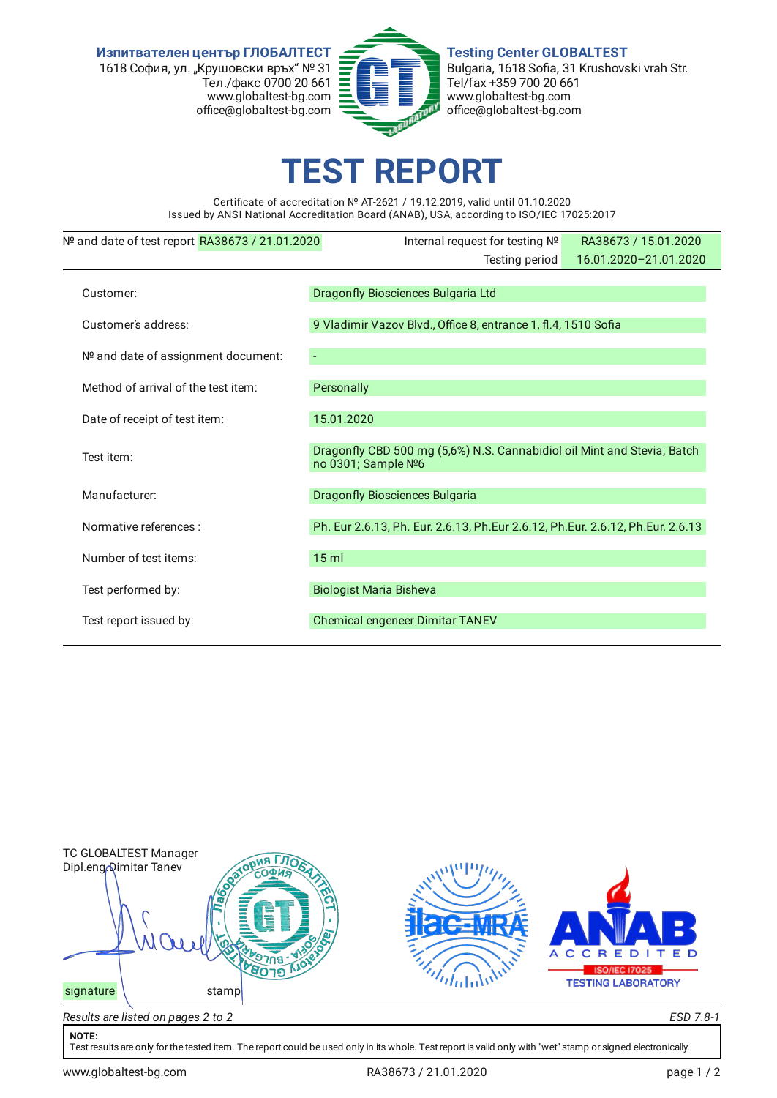**Изпитвателен център ГЛОБАЛТЕСТ** 1618 София, ул. "Крушовски връх" № 31 Тел./факс 0700 20 661 www.globaltest-bg.com office@globaltest-bg.com



**Testing Center GLOBALTEST** Bulgaria, 1618 Sofia, 31 Krushovski vrah Str. Tel/fax +359 700 20 661 www.globaltest-bg.com office@globaltest-bg.com

## **EST REPO**

Certificate of accreditation № AT-2621 / 19.12.2019, valid until 01.10.2020 Issued by ANSI National Accreditation Board (ANAB), USA, according to ISO/IEC 17025:2017

| Nº and date of test report RA38673 / 21.01.2020 | Internal request for testing Nº                                                                | RA38673 / 15.01.2020  |  |  |  |
|-------------------------------------------------|------------------------------------------------------------------------------------------------|-----------------------|--|--|--|
|                                                 | Testing period                                                                                 | 16.01.2020-21.01.2020 |  |  |  |
| Customer:                                       | Dragonfly Biosciences Bulgaria Ltd                                                             |                       |  |  |  |
|                                                 |                                                                                                |                       |  |  |  |
| Customer's address:                             | 9 Vladimir Vazov Blvd., Office 8, entrance 1, fl.4, 1510 Sofia                                 |                       |  |  |  |
| Nº and date of assignment document:             |                                                                                                |                       |  |  |  |
| Method of arrival of the test item:             | Personally                                                                                     |                       |  |  |  |
| Date of receipt of test item:                   | 15.01.2020                                                                                     |                       |  |  |  |
| Test item:                                      | Dragonfly CBD 500 mg (5,6%) N.S. Cannabidiol oil Mint and Stevia; Batch<br>no 0301; Sample Nº6 |                       |  |  |  |
| Manufacturer:                                   | <b>Dragonfly Biosciences Bulgaria</b>                                                          |                       |  |  |  |
| Normative references :                          | Ph. Eur 2.6.13, Ph. Eur. 2.6.13, Ph. Eur 2.6.12, Ph. Eur. 2.6.12, Ph. Eur. 2.6.13              |                       |  |  |  |
| Number of test items:                           | $15$ ml                                                                                        |                       |  |  |  |
| Test performed by:                              | <b>Biologist Maria Bisheva</b>                                                                 |                       |  |  |  |
| Test report issued by:                          | Chemical engeneer Dimitar TANEV                                                                |                       |  |  |  |
|                                                 |                                                                                                |                       |  |  |  |



## **NOTE:**

Test results are only for the tested item. The report could be used only in its whole. Test report is valid only with "wet" stamp or signed electronically.